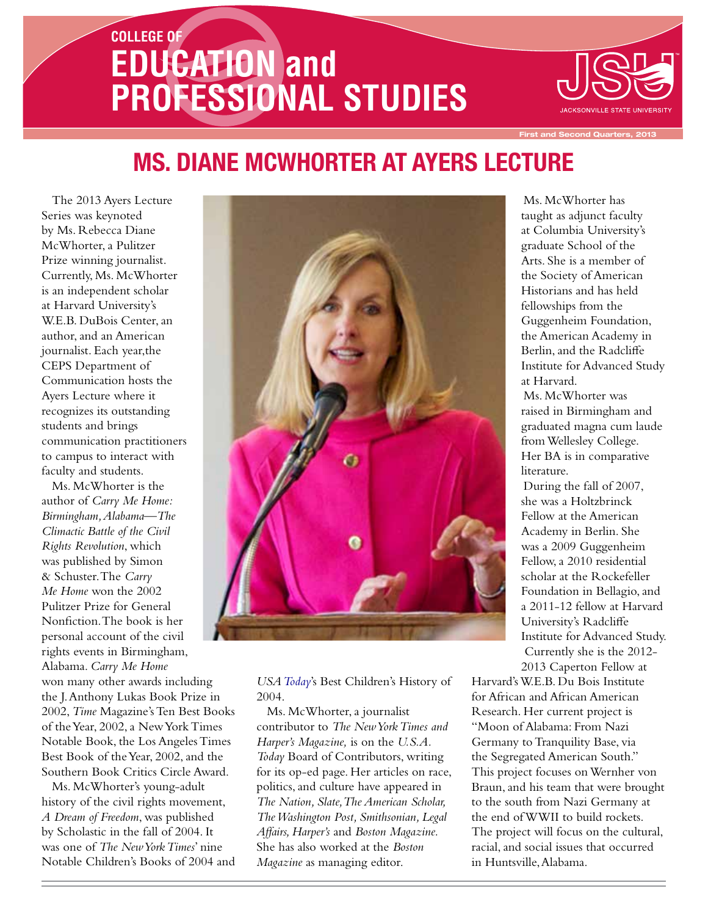# **COLLEGE OF EDUCATION and PROFESSIONAL STUDIES**



**Recond Quarters, 2013** 

## **Ms. Diane McWhorter At Ayers Lecture**

The 2013 Ayers Lecture Series was keynoted by Ms. Rebecca Diane McWhorter, a Pulitzer Prize winning journalist. Currently, Ms. McWhorter is an independent scholar at Harvard University's W.E.B. DuBois Center, an author, and an American journalist. Each year,the CEPS Department of Communication hosts the Ayers Lecture where it recognizes its outstanding students and brings communication practitioners to campus to interact with faculty and students.

Ms. McWhorter is the author of *Carry Me Home: Birmingham, Alabama—The Climactic Battle of the Civil Rights Revolution*, which was published by Simon & Schuster. The *Carry Me Home* won the 2002 Pulitzer Prize for General Nonfiction. The book is her personal account of the civil rights events in Birmingham, Alabama. *Carry Me Home* won many other awards including the J. Anthony Lukas Book Prize in 2002, *Time* Magazine's Ten Best Books of the Year, 2002, a New York Times Notable Book, the Los Angeles Times Best Book of the Year, 2002, and the Southern Book Critics Circle Award.

Ms. McWhorter's young-adult history of the civil rights movement, *A Dream of Freedom*, was published by Scholastic in the fall of 2004. It was one of *The New York Times*' nine Notable Children's Books of 2004 and



*USA Today*'s Best Children's History of 2004.

Ms. McWhorter, a journalist contributor to *The New York Times and Harper's Magazine,* is on the *U.S.A. Today* Board of Contributors, writing for its op-ed page. Her articles on race, politics, and culture have appeared in *The Nation, Slate, The American Scholar, The Washington Post, Smithsonian, Legal Affairs, Harper's* and *Boston Magazine.*  She has also worked at the *Boston Magazine* as managing editor.

Ms. McWhorter has taught as adjunct faculty at Columbia University's graduate School of the Arts. She is a member of the Society of American Historians and has held fellowships from the Guggenheim Foundation, the American Academy in Berlin, and the Radcliffe Institute for Advanced Study at Harvard.

Ms. McWhorter was raised in Birmingham and graduated magna cum laude from Wellesley College. Her BA is in comparative literature.

During the fall of 2007, she was a Holtzbrinck Fellow at the American Academy in Berlin. She was a 2009 Guggenheim Fellow, a 2010 residential scholar at the Rockefeller Foundation in Bellagio, and a 2011-12 fellow at Harvard University's Radcliffe Institute for Advanced Study. Currently she is the 2012- 2013 Caperton Fellow at

Harvard's W.E.B. Du Bois Institute for African and African American Research. Her current project is "Moon of Alabama: From Nazi Germany to Tranquility Base, via the Segregated American South." This project focuses on Wernher von Braun, and his team that were brought to the south from Nazi Germany at the end of WWII to build rockets. The project will focus on the cultural, racial, and social issues that occurred in Huntsville, Alabama.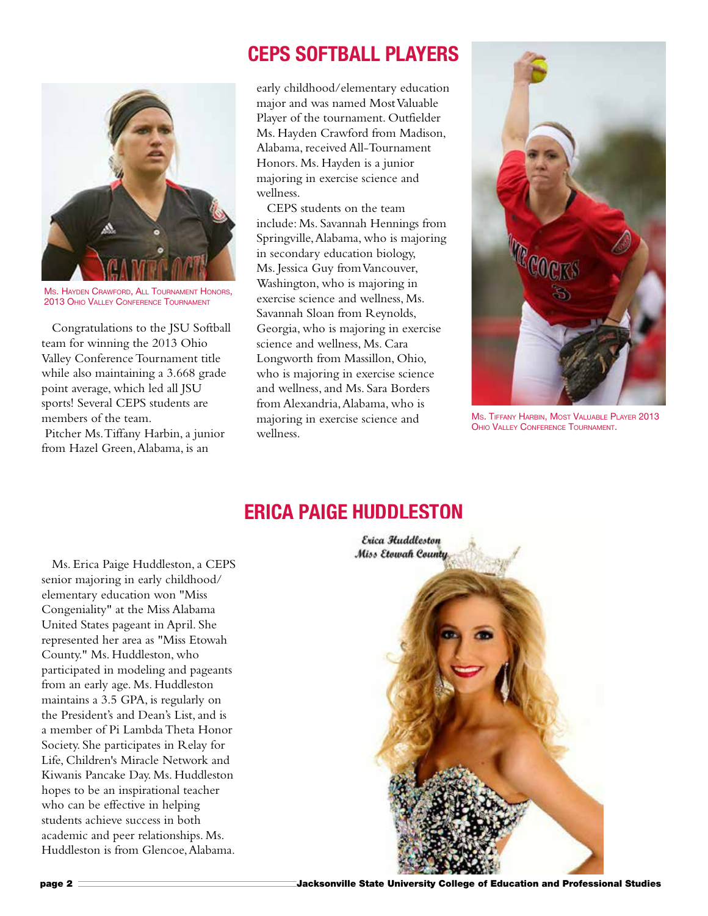### **CEPS Softball Players**



Ms. Hayden Crawford, All Tournament Honors, 2013 Ohio Valley Conference Tournament

Congratulations to the JSU Softball team for winning the 2013 Ohio Valley Conference Tournament title while also maintaining a 3.668 grade point average, which led all JSU sports! Several CEPS students are members of the team. Pitcher Ms. Tiffany Harbin, a junior from Hazel Green, Alabama, is an

early childhood/elementary education major and was named Most Valuable Player of the tournament. Outfielder Ms. Hayden Crawford from Madison, Alabama, received All-Tournament Honors. Ms. Hayden is a junior majoring in exercise science and wellness.

CEPS students on the team include: Ms. Savannah Hennings from Springville, Alabama, who is majoring in secondary education biology, Ms. Jessica Guy from Vancouver, Washington, who is majoring in exercise science and wellness, Ms. Savannah Sloan from Reynolds, Georgia, who is majoring in exercise science and wellness, Ms. Cara Longworth from Massillon, Ohio, who is majoring in exercise science and wellness, and Ms. Sara Borders from Alexandria, Alabama, who is majoring in exercise science and wellness.



Ms. Tiffany Harbin, Most Valuable Player 2013 Ohio Valley Conference Tournament.

#### **Erica Paige Huddleston**

Ms. Erica Paige Huddleston, a CEPS senior majoring in early childhood/ elementary education won "Miss Congeniality" at the Miss Alabama United States pageant in April. She represented her area as "Miss Etowah County." Ms. Huddleston, who participated in modeling and pageants from an early age. Ms. Huddleston maintains a 3.5 GPA, is regularly on the President's and Dean's List, and is a member of Pi Lambda Theta Honor Society. She participates in Relay for Life, Children's Miracle Network and Kiwanis Pancake Day. Ms. Huddleston hopes to be an inspirational teacher who can be effective in helping students achieve success in both academic and peer relationships. Ms. Huddleston is from Glencoe, Alabama.

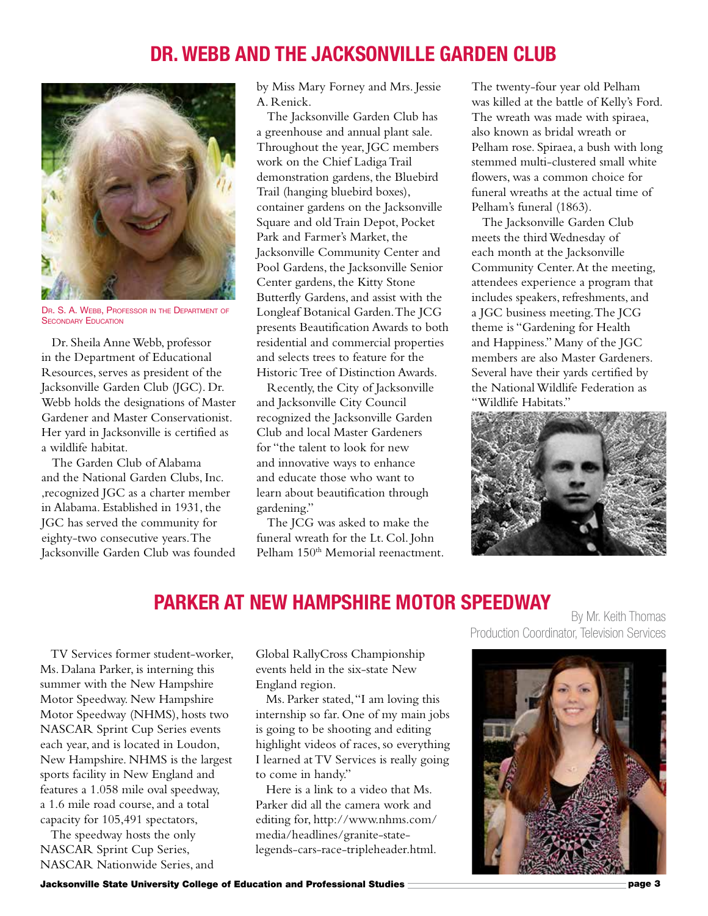#### **Dr. Webb and the Jacksonville Garden Club**



Dr. S. A. Webb, Professor in the Department of **SECONDARY EDUCATION** 

Dr. Sheila Anne Webb, professor in the Department of Educational Resources, serves as president of the Jacksonville Garden Club (JGC). Dr. Webb holds the designations of Master Gardener and Master Conservationist. Her yard in Jacksonville is certified as a wildlife habitat.

The Garden Club of Alabama and the National Garden Clubs, Inc. ,recognized JGC as a charter member in Alabama. Established in 1931, the JGC has served the community for eighty-two consecutive years. The Jacksonville Garden Club was founded by Miss Mary Forney and Mrs. Jessie A. Renick.

The Jacksonville Garden Club has a greenhouse and annual plant sale. Throughout the year, JGC members work on the Chief Ladiga Trail demonstration gardens, the Bluebird Trail (hanging bluebird boxes), container gardens on the Jacksonville Square and old Train Depot, Pocket Park and Farmer's Market, the Jacksonville Community Center and Pool Gardens, the Jacksonville Senior Center gardens, the Kitty Stone Butterfly Gardens, and assist with the Longleaf Botanical Garden. The JCG presents Beautification Awards to both residential and commercial properties and selects trees to feature for the Historic Tree of Distinction Awards.

Recently, the City of Jacksonville and Jacksonville City Council recognized the Jacksonville Garden Club and local Master Gardeners for "the talent to look for new and innovative ways to enhance and educate those who want to learn about beautification through gardening."

The JCG was asked to make the funeral wreath for the Lt. Col. John Pelham 150<sup>th</sup> Memorial reenactment. The twenty-four year old Pelham was killed at the battle of Kelly's Ford. The wreath was made with spiraea, also known as bridal wreath or Pelham rose. Spiraea, a bush with long stemmed multi-clustered small white flowers, was a common choice for funeral wreaths at the actual time of Pelham's funeral (1863).

The Jacksonville Garden Club meets the third Wednesday of each month at the Jacksonville Community Center. At the meeting, attendees experience a program that includes speakers, refreshments, and a JGC business meeting. The JCG theme is "Gardening for Health and Happiness." Many of the JGC members are also Master Gardeners. Several have their yards certified by the National Wildlife Federation as "Wildlife Habitats."



#### **Parker at New Hampshire Motor Speedway**

TV Services former student-worker, Ms. Dalana Parker, is interning this summer with the New Hampshire Motor Speedway. New Hampshire Motor Speedway (NHMS), hosts two NASCAR Sprint Cup Series events each year, and is located in Loudon, New Hampshire. NHMS is the largest sports facility in New England and features a 1.058 mile oval speedway, a 1.6 mile road course, and a total capacity for 105,491 spectators,

The speedway hosts the only NASCAR Sprint Cup Series, NASCAR Nationwide Series, and Global RallyCross Championship events held in the six-state New England region.

Ms. Parker stated, "I am loving this internship so far. One of my main jobs is going to be shooting and editing highlight videos of races, so everything I learned at TV Services is really going to come in handy."

Here is a link to a video that Ms. Parker did all the camera work and editing for, http://www.nhms.com/ media/headlines/granite-statelegends-cars-race-tripleheader.html.

By Mr. Keith Thomas Production Coordinator, Television Services

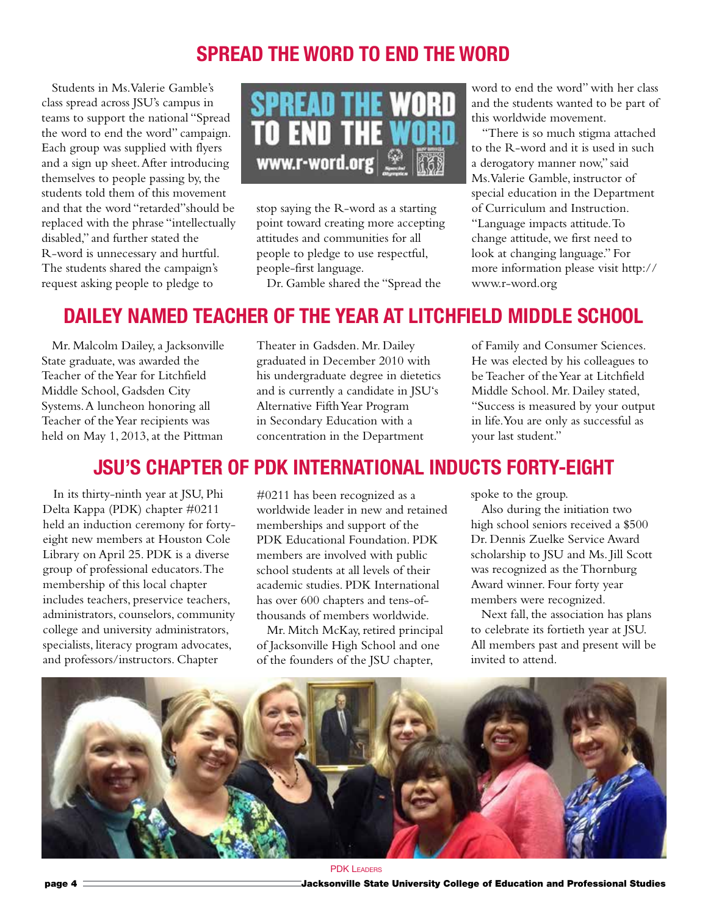## **Spread the word to end the word**

Students in Ms. Valerie Gamble's class spread across JSU's campus in teams to support the national "Spread the word to end the word" campaign. Each group was supplied with flyers and a sign up sheet. After introducing themselves to people passing by, the students told them of this movement and that the word "retarded"should be replaced with the phrase "intellectually disabled," and further stated the R-word is unnecessary and hurtful. The students shared the campaign's request asking people to pledge to



stop saying the R-word as a starting point toward creating more accepting attitudes and communities for all people to pledge to use respectful, people-first language.

Dr. Gamble shared the "Spread the

word to end the word" with her class and the students wanted to be part of this worldwide movement.

"There is so much stigma attached to the R-word and it is used in such a derogatory manner now," said Ms. Valerie Gamble, instructor of special education in the Department of Curriculum and Instruction. "Language impacts attitude. To change attitude, we first need to look at changing language." For more information please visit http:// www.r-word.org

## **Dailey Named Teacher of The Year at Litchfield Middle School**

Mr. Malcolm Dailey, a Jacksonville State graduate, was awarded the Teacher of the Year for Litchfield Middle School, Gadsden City Systems. A luncheon honoring all Teacher of the Year recipients was held on May 1, 2013, at the Pittman

Theater in Gadsden. Mr. Dailey graduated in December 2010 with his undergraduate degree in dietetics and is currently a candidate in JSU's Alternative Fifth Year Program in Secondary Education with a concentration in the Department

of Family and Consumer Sciences. He was elected by his colleagues to be Teacher of the Year at Litchfield Middle School. Mr. Dailey stated, "Success is measured by your output in life. You are only as successful as your last student."

#### **JSU's Chapter of PDK International Inducts Forty-eight**

In its thirty-ninth year at JSU, Phi Delta Kappa (PDK) chapter #0211 held an induction ceremony for fortyeight new members at Houston Cole Library on April 25. PDK is a diverse group of professional educators. The membership of this local chapter includes teachers, preservice teachers, administrators, counselors, community college and university administrators, specialists, literacy program advocates, and professors/instructors. Chapter

#0211 has been recognized as a worldwide leader in new and retained memberships and support of the PDK Educational Foundation. PDK members are involved with public school students at all levels of their academic studies. PDK International has over 600 chapters and tens-ofthousands of members worldwide.

Mr. Mitch McKay, retired principal of Jacksonville High School and one of the founders of the JSU chapter,

spoke to the group.

Also during the initiation two high school seniors received a \$500 Dr. Dennis Zuelke Service Award scholarship to JSU and Ms. Jill Scott was recognized as the Thornburg Award winner. Four forty year members were recognized.

Next fall, the association has plans to celebrate its fortieth year at JSU. All members past and present will be invited to attend.



page 4 Jacksonville State University College of Education and Professional Studies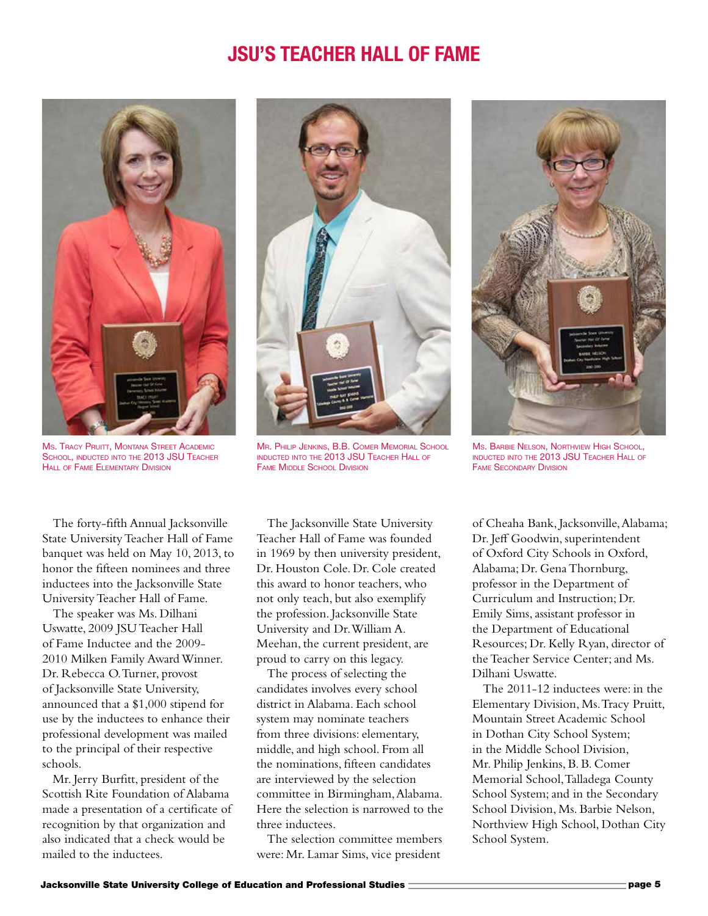#### **JSU's Teacher Hall of Fame**



**Ms. TRACY PRUITT, MONTANA STREET ACADEMIC** School, inducted into the 2013 JSU Teacher HALL OF FAME ELEMENTARY DIVISION

The forty-fifth Annual Jacksonville State University Teacher Hall of Fame banquet was held on May 10, 2013, to honor the fifteen nominees and three inductees into the Jacksonville State University Teacher Hall of Fame.

The speaker was Ms. Dilhani Uswatte, 2009 JSU Teacher Hall of Fame Inductee and the 2009- 2010 Milken Family Award Winner. Dr. Rebecca O. Turner, provost of Jacksonville State University, announced that a \$1,000 stipend for use by the inductees to enhance their professional development was mailed to the principal of their respective schools.

Mr. Jerry Burfitt, president of the Scottish Rite Foundation of Alabama made a presentation of a certificate of recognition by that organization and also indicated that a check would be mailed to the inductees.



Mr. Philip Jenkins, B.B. Comer Memorial School inducted into the 2013 JSU Teacher Hall of **FAME MIDDLE SCHOOL DIVISION** 

The Jacksonville State University Teacher Hall of Fame was founded in 1969 by then university president, Dr. Houston Cole. Dr. Cole created this award to honor teachers, who not only teach, but also exemplify the profession. Jacksonville State University and Dr. William A. Meehan, the current president, are proud to carry on this legacy.

The process of selecting the candidates involves every school district in Alabama. Each school system may nominate teachers from three divisions: elementary, middle, and high school. From all the nominations, fifteen candidates are interviewed by the selection committee in Birmingham, Alabama. Here the selection is narrowed to the three inductees.

The selection committee members were: Mr. Lamar Sims, vice president



Ms. Barbie Nelson, Northview High School, inducted into the 2013 JSU Teacher Hall of Fame Secondary Division

of Cheaha Bank, Jacksonville, Alabama; Dr. Jeff Goodwin, superintendent of Oxford City Schools in Oxford, Alabama; Dr. Gena Thornburg, professor in the Department of Curriculum and Instruction; Dr. Emily Sims, assistant professor in the Department of Educational Resources; Dr. Kelly Ryan, director of the Teacher Service Center; and Ms. Dilhani Uswatte.

The 2011-12 inductees were: in the Elementary Division, Ms. Tracy Pruitt, Mountain Street Academic School in Dothan City School System; in the Middle School Division, Mr. Philip Jenkins, B. B. Comer Memorial School, Talladega County School System; and in the Secondary School Division, Ms. Barbie Nelson, Northview High School, Dothan City School System.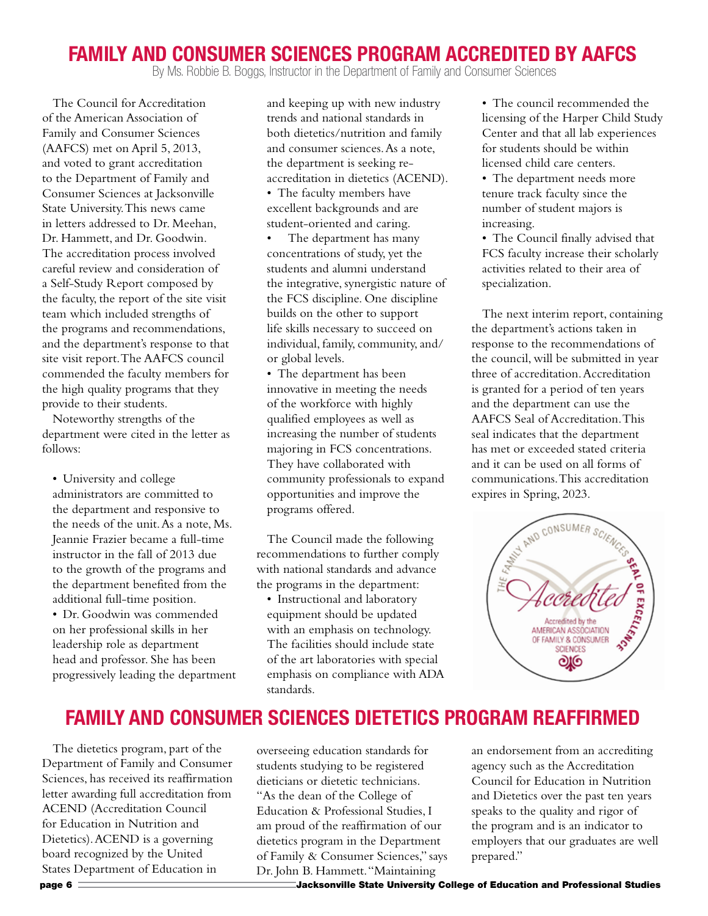#### **Family and Consumer Sciences Program Accredited by AAFCS**

By Ms. Robbie B. Boggs, Instructor in the Department of Family and Consumer Sciences

The Council for Accreditation of the American Association of Family and Consumer Sciences (AAFCS) met on April 5, 2013, and voted to grant accreditation to the Department of Family and Consumer Sciences at Jacksonville State University. This news came in letters addressed to Dr. Meehan, Dr. Hammett, and Dr. Goodwin. The accreditation process involved careful review and consideration of a Self-Study Report composed by the faculty, the report of the site visit team which included strengths of the programs and recommendations, and the department's response to that site visit report. The AAFCS council commended the faculty members for the high quality programs that they provide to their students.

Noteworthy strengths of the department were cited in the letter as follows:

• University and college administrators are committed to the department and responsive to the needs of the unit. As a note, Ms. Jeannie Frazier became a full-time instructor in the fall of 2013 due to the growth of the programs and the department benefited from the additional full-time position.

• Dr. Goodwin was commended on her professional skills in her leadership role as department head and professor. She has been progressively leading the department and keeping up with new industry trends and national standards in both dietetics/nutrition and family and consumer sciences. As a note, the department is seeking reaccreditation in dietetics (ACEND).

• The faculty members have excellent backgrounds and are student-oriented and caring.

The department has many concentrations of study, yet the students and alumni understand the integrative, synergistic nature of the FCS discipline. One discipline builds on the other to support life skills necessary to succeed on individual, family, community, and/ or global levels.

• The department has been innovative in meeting the needs of the workforce with highly qualified employees as well as increasing the number of students majoring in FCS concentrations. They have collaborated with community professionals to expand opportunities and improve the programs offered.

The Council made the following recommendations to further comply with national standards and advance the programs in the department:

• Instructional and laboratory equipment should be updated with an emphasis on technology. The facilities should include state of the art laboratories with special emphasis on compliance with ADA standards.

• The council recommended the licensing of the Harper Child Study Center and that all lab experiences for students should be within licensed child care centers.

• The department needs more tenure track faculty since the number of student majors is increasing.

• The Council finally advised that FCS faculty increase their scholarly activities related to their area of specialization.

The next interim report, containing the department's actions taken in response to the recommendations of the council, will be submitted in year three of accreditation. Accreditation is granted for a period of ten years and the department can use the AAFCS Seal of Accreditation. This seal indicates that the department has met or exceeded stated criteria and it can be used on all forms of expires in Spring, 2023.



## **Family and Consumer Sciences Dietetics Program Reaffirmed**

The dietetics program, part of the Department of Family and Consumer Sciences, has received its reaffirmation letter awarding full accreditation from ACEND (Accreditation Council for Education in Nutrition and Dietetics). ACEND is a governing board recognized by the United States Department of Education in

overseeing education standards for students studying to be registered dieticians or dietetic technicians. "As the dean of the College of Education & Professional Studies, I am proud of the reaffirmation of our dietetics program in the Department of Family & Consumer Sciences," says Dr. John B. Hammett. "Maintaining

an endorsement from an accrediting agency such as the Accreditation Council for Education in Nutrition and Dietetics over the past ten years speaks to the quality and rigor of the program and is an indicator to employers that our graduates are well prepared."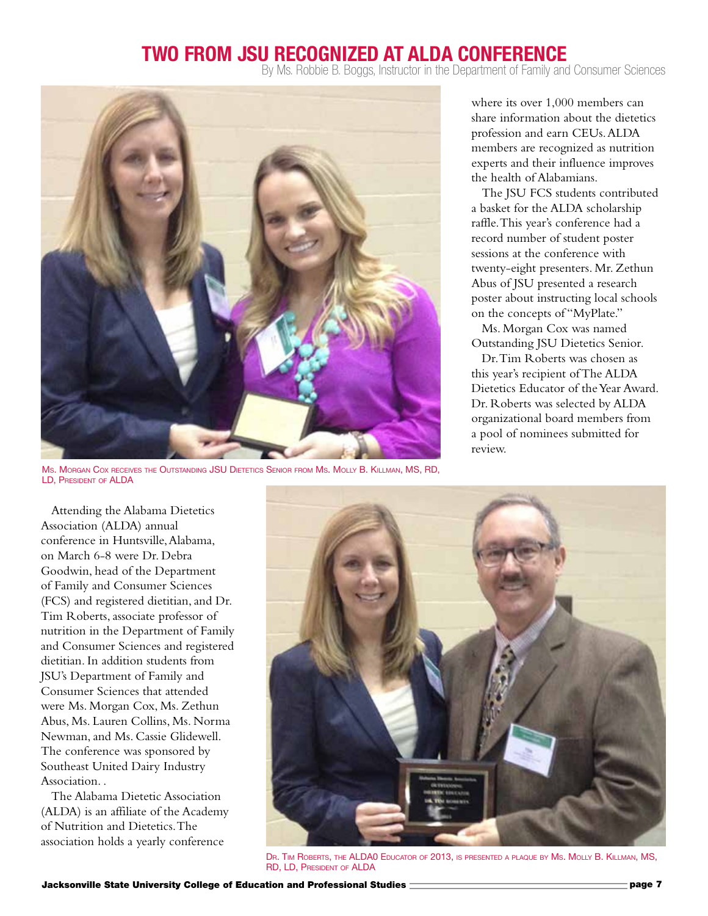#### **Two from JSU Recognized at ALDA Conference**

By Ms. Robbie B. Boggs, Instructor in the Department of Family and Consumer Sciences



Ms. Morgan Cox receives the Outstanding JSU Dietetics Senior from Ms. Molly B. Killman, MS, RD, LD, President of ALDA

where its over 1,000 members can share information about the dietetics profession and earn CEUs. ALDA members are recognized as nutrition experts and their influence improves the health of Alabamians.

The JSU FCS students contributed a basket for the ALDA scholarship raffle. This year's conference had a record number of student poster sessions at the conference with twenty-eight presenters. Mr. Zethun Abus of JSU presented a research poster about instructing local schools on the concepts of "MyPlate."

Ms. Morgan Cox was named Outstanding JSU Dietetics Senior.

Dr. Tim Roberts was chosen as this year's recipient of The ALDA Dietetics Educator of the Year Award. Dr. Roberts was selected by ALDA organizational board members from a pool of nominees submitted for review.

Attending the Alabama Dietetics Association (ALDA) annual conference in Huntsville, Alabama, on March 6-8 were Dr. Debra Goodwin, head of the Department of Family and Consumer Sciences (FCS) and registered dietitian, and Dr. Tim Roberts, associate professor of nutrition in the Department of Family and Consumer Sciences and registered dietitian. In addition students from JSU's Department of Family and Consumer Sciences that attended were Ms. Morgan Cox, Ms. Zethun Abus, Ms. Lauren Collins, Ms. Norma Newman, and Ms. Cassie Glidewell. The conference was sponsored by Southeast United Dairy Industry Association. .

The Alabama Dietetic Association (ALDA) is an affiliate of the Academy of Nutrition and Dietetics. The association holds a yearly conference



Dr. Tim Roberts, the ALDA0 Educator of 2013, is presented <sup>a</sup> plaque by Ms. Molly B. Killman, MS, RD, LD, President of ALDA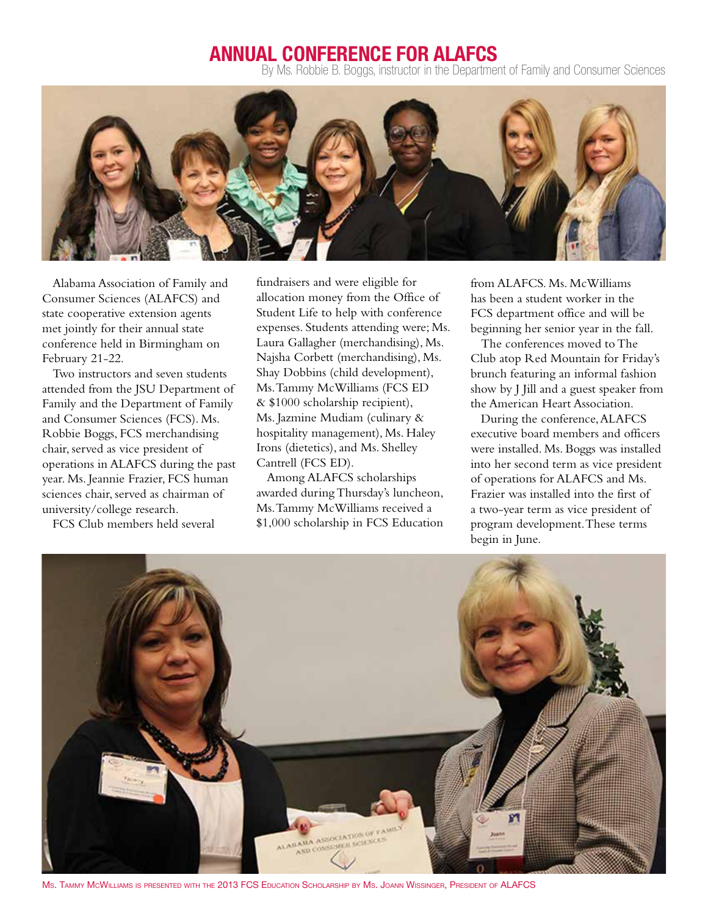#### **Annual Conference for ALAFCS**

By Ms. Robbie B. Boggs, instructor in the Department of Family and Consumer Sciences



Alabama Association of Family and Consumer Sciences (ALAFCS) and state cooperative extension agents met jointly for their annual state conference held in Birmingham on February 21-22.

Two instructors and seven students attended from the JSU Department of Family and the Department of Family and Consumer Sciences (FCS). Ms. Robbie Boggs, FCS merchandising chair, served as vice president of operations in ALAFCS during the past year. Ms. Jeannie Frazier, FCS human sciences chair, served as chairman of university/college research.

FCS Club members held several

fundraisers and were eligible for allocation money from the Office of Student Life to help with conference expenses. Students attending were; Ms. Laura Gallagher (merchandising), Ms. Najsha Corbett (merchandising), Ms. Shay Dobbins (child development), Ms. Tammy McWilliams (FCS ED & \$1000 scholarship recipient), Ms. Jazmine Mudiam (culinary & hospitality management), Ms. Haley Irons (dietetics), and Ms. Shelley Cantrell (FCS ED).

Among ALAFCS scholarships awarded during Thursday's luncheon, Ms. Tammy McWilliams received a \$1,000 scholarship in FCS Education from ALAFCS. Ms. McWilliams has been a student worker in the FCS department office and will be beginning her senior year in the fall.

The conferences moved to The Club atop Red Mountain for Friday's brunch featuring an informal fashion show by J Jill and a guest speaker from the American Heart Association.

During the conference, ALAFCS executive board members and officers were installed. Ms. Boggs was installed into her second term as vice president of operations for ALAFCS and Ms. Frazier was installed into the first of a two-year term as vice president of program development. These terms begin in June.



Ms. Tammy McWilliams is presented with the 2013 FCS Education Scholarship by Ms. Joann Wissinger, President of ALAFCS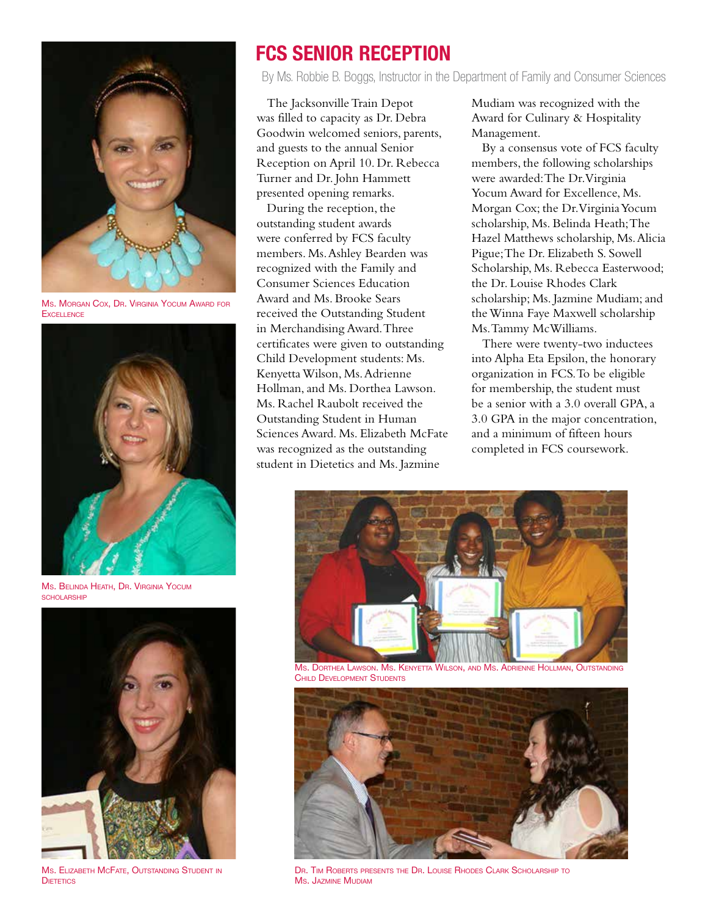

Ms. Morgan Cox, Dr. Virginia Yocum Award for **EXCELLENCE** 



Ms. Belinda Heath, Dr. Virginia Yocum scholarship



Ms. Elizabeth McFate, Outstanding Student in **DIFTETICS** 

## **FCS Senior Reception**

By Ms. Robbie B. Boggs, Instructor in the Department of Family and Consumer Sciences

The Jacksonville Train Depot was filled to capacity as Dr. Debra Goodwin welcomed seniors, parents, and guests to the annual Senior Reception on April 10. Dr. Rebecca Turner and Dr. John Hammett presented opening remarks.

During the reception, the outstanding student awards were conferred by FCS faculty members. Ms. Ashley Bearden was recognized with the Family and Consumer Sciences Education Award and Ms. Brooke Sears received the Outstanding Student in Merchandising Award. Three certificates were given to outstanding Child Development students: Ms. Kenyetta Wilson, Ms. Adrienne Hollman, and Ms. Dorthea Lawson. Ms. Rachel Raubolt received the Outstanding Student in Human Sciences Award. Ms. Elizabeth McFate was recognized as the outstanding student in Dietetics and Ms. Jazmine

Mudiam was recognized with the Award for Culinary & Hospitality Management.

By a consensus vote of FCS faculty members, the following scholarships were awarded: The Dr. Virginia Yocum Award for Excellence, Ms. Morgan Cox; the Dr. Virginia Yocum scholarship, Ms. Belinda Heath; The Hazel Matthews scholarship, Ms. Alicia Pigue; The Dr. Elizabeth S. Sowell Scholarship, Ms. Rebecca Easterwood; the Dr. Louise Rhodes Clark scholarship; Ms. Jazmine Mudiam; and the Winna Faye Maxwell scholarship Ms. Tammy McWilliams.

There were twenty-two inductees into Alpha Eta Epsilon, the honorary organization in FCS. To be eligible for membership, the student must be a senior with a 3.0 overall GPA, a 3.0 GPA in the major concentration, and a minimum of fifteen hours completed in FCS coursework.



Ms. Dorthea Lawson. Ms. Kenyetta Wilson, and Ms. Adrienne Hollman, Outstanding Child Development Students



Dr. Tim Roberts presents the Dr. Louise Rhodes Clark Scholarship to Ms. Jazmine Mudiam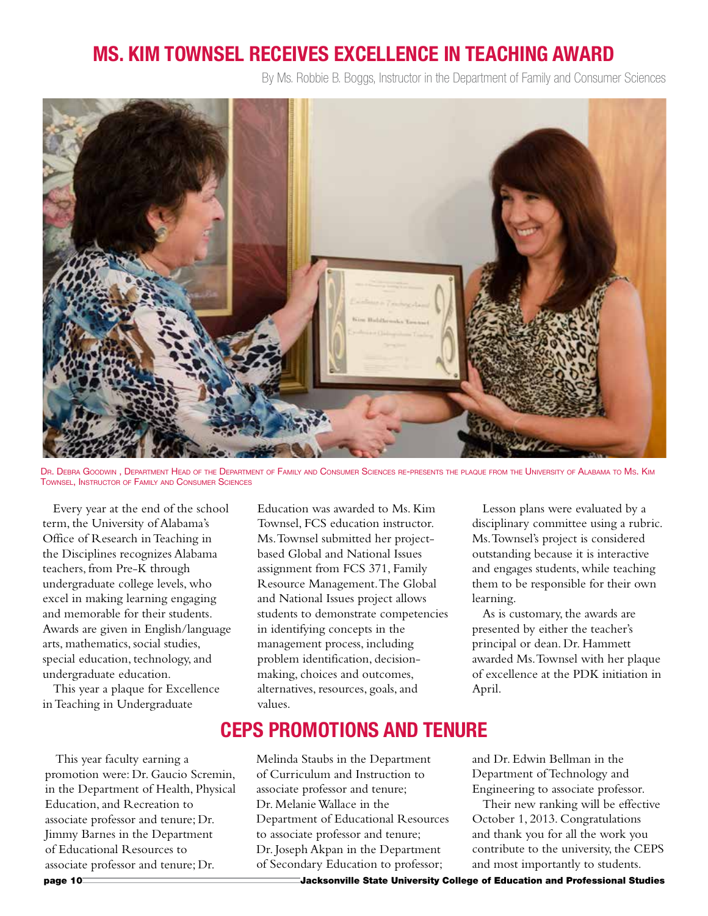## **Ms. Kim Townsel Receives Excellence in Teaching Award**

By Ms. Robbie B. Boggs, Instructor in the Department of Family and Consumer Sciences



Dr. Debra Goodwin , Department Head of the Department of Family and Consumer Sciences re-presents the plaque from the University of Alabama to Ms. Kim Townsel, Instructor of Family and Consumer Sciences

Every year at the end of the school term, the University of Alabama's Office of Research in Teaching in the Disciplines recognizes Alabama teachers, from Pre-K through undergraduate college levels, who excel in making learning engaging and memorable for their students. Awards are given in English/language arts, mathematics, social studies, special education, technology, and undergraduate education.

This year a plaque for Excellence in Teaching in Undergraduate

This year faculty earning a promotion were: Dr. Gaucio Scremin, in the Department of Health, Physical Education, and Recreation to associate professor and tenure; Dr. Jimmy Barnes in the Department of Educational Resources to associate professor and tenure; Dr.

Education was awarded to Ms. Kim Townsel, FCS education instructor. Ms. Townsel submitted her projectbased Global and National Issues assignment from FCS 371, Family Resource Management. The Global and National Issues project allows students to demonstrate competencies in identifying concepts in the management process, including problem identification, decisionmaking, choices and outcomes, alternatives, resources, goals, and values.

Lesson plans were evaluated by a disciplinary committee using a rubric. Ms. Townsel's project is considered outstanding because it is interactive and engages students, while teaching them to be responsible for their own learning.

As is customary, the awards are presented by either the teacher's principal or dean. Dr. Hammett awarded Ms. Townsel with her plaque of excellence at the PDK initiation in April.

#### **CEPS Promotions and Tenure**

Melinda Staubs in the Department of Curriculum and Instruction to associate professor and tenure; Dr. Melanie Wallace in the Department of Educational Resources to associate professor and tenure; Dr. Joseph Akpan in the Department of Secondary Education to professor;

and Dr. Edwin Bellman in the Department of Technology and Engineering to associate professor.

Their new ranking will be effective October 1, 2013. Congratulations and thank you for all the work you contribute to the university, the CEPS and most importantly to students.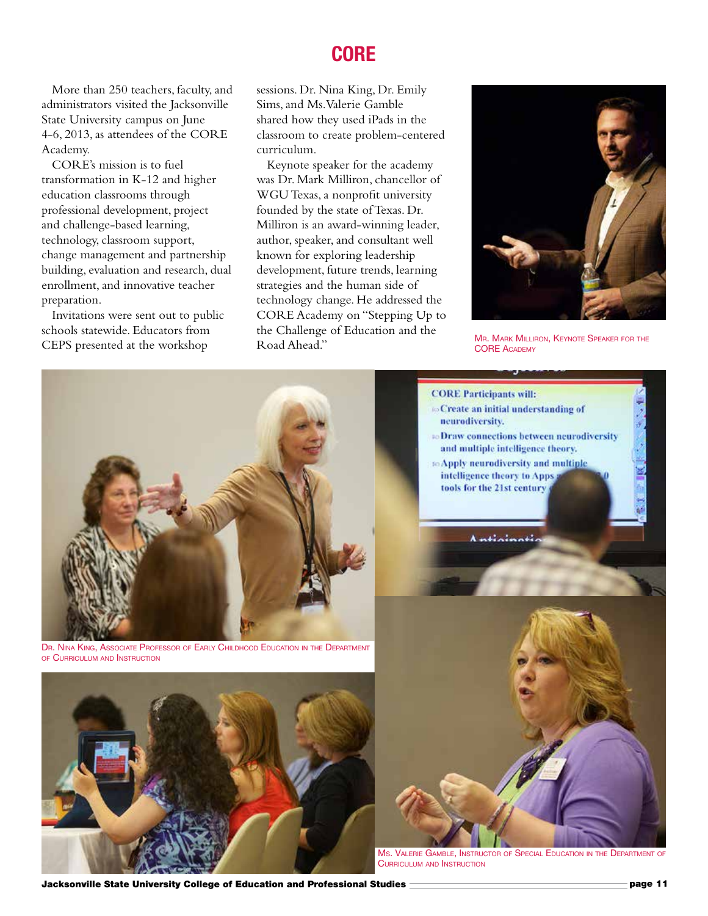More than 250 teachers, faculty, and administrators visited the Jacksonville State University campus on June 4-6, 2013, as attendees of the CORE Academy.

CORE's mission is to fuel transformation in K-12 and higher education classrooms through professional development, project and challenge-based learning, technology, classroom support, change management and partnership building, evaluation and research, dual enrollment, and innovative teacher preparation.

Invitations were sent out to public schools statewide. Educators from CEPS presented at the workshop

#### **CORE**

sessions. Dr. Nina King, Dr. Emily Sims, and Ms. Valerie Gamble shared how they used iPads in the classroom to create problem-centered curriculum.

Keynote speaker for the academy was Dr. Mark Milliron, chancellor of WGU Texas, a nonprofit university founded by the state of Texas. Dr. Milliron is an award-winning leader, author, speaker, and consultant well known for exploring leadership development, future trends, learning strategies and the human side of technology change. He addressed the CORE Academy on "Stepping Up to the Challenge of Education and the **CORE AGAINST AND MARK MILLIRON, KEYNOTE SPEAKER FOR THE**<br>CORE AGAINST CORE AGAINST CORE AGAINST CORE AGAINST CORE AGAINST CORE AGAINST CORE AGAINST CORE AGAINST CORE AGAINST CORE AGAINST AGAINST AGAINST AGAINST AGAINST AG



**CORE ACADEMY**